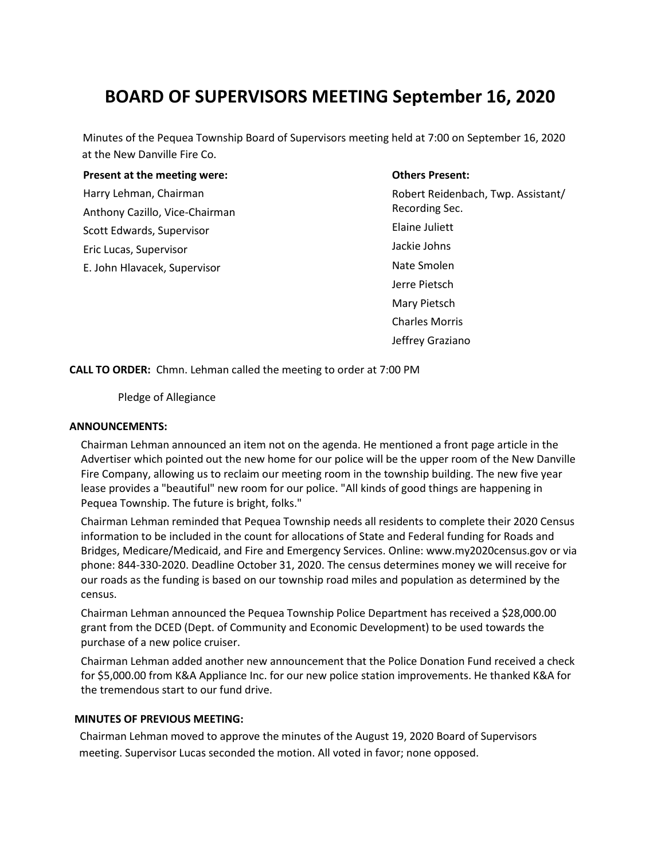# **BOARD OF SUPERVISORS MEETING September 16, 2020**

Minutes of the Pequea Township Board of Supervisors meeting held at 7:00 on September 16, 2020 at the New Danville Fire Co.

## **Present at the meeting were:**

Harry Lehman, Chairman Anthony Cazillo, Vice-Chairman Scott Edwards, Supervisor Eric Lucas, Supervisor E. John Hlavacek, Supervisor

## **Others Present:**

Robert Reidenbach, Twp. Assistant/ Recording Sec. Elaine Juliett Jackie Johns Nate Smolen Jerre Pietsch Mary Pietsch Charles Morris Jeffrey Graziano

**CALL TO ORDER:** Chmn. Lehman called the meeting to order at 7:00 PM

Pledge of Allegiance

## **ANNOUNCEMENTS:**

Chairman Lehman announced an item not on the agenda. He mentioned a front page article in the Advertiser which pointed out the new home for our police will be the upper room of the New Danville Fire Company, allowing us to reclaim our meeting room in the township building. The new five year lease provides a "beautiful" new room for our police. "All kinds of good things are happening in Pequea Township. The future is bright, folks."

Chairman Lehman reminded that Pequea Township needs all residents to complete their 2020 Census information to be included in the count for allocations of State and Federal funding for Roads and Bridges, Medicare/Medicaid, and Fire and Emergency Services. Online: www.my2020census.gov or via phone: 844-330-2020. Deadline October 31, 2020. The census determines money we will receive for our roads as the funding is based on our township road miles and population as determined by the census.

Chairman Lehman announced the Pequea Township Police Department has received a \$28,000.00 grant from the DCED (Dept. of Community and Economic Development) to be used towards the purchase of a new police cruiser.

Chairman Lehman added another new announcement that the Police Donation Fund received a check for \$5,000.00 from K&A Appliance Inc. for our new police station improvements. He thanked K&A for the tremendous start to our fund drive.

## **MINUTES OF PREVIOUS MEETING:**

 Chairman Lehman moved to approve the minutes of the August 19, 2020 Board of Supervisors meeting. Supervisor Lucas seconded the motion. All voted in favor; none opposed.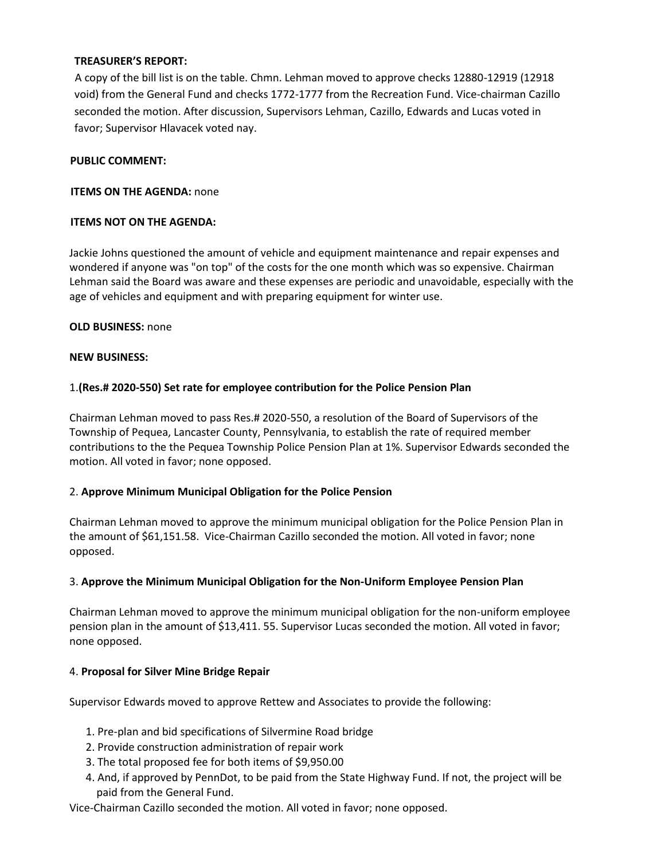## **TREASURER'S REPORT:**

 A copy of the bill list is on the table. Chmn. Lehman moved to approve checks 12880-12919 (12918 void) from the General Fund and checks 1772-1777 from the Recreation Fund. Vice-chairman Cazillo seconded the motion. After discussion, Supervisors Lehman, Cazillo, Edwards and Lucas voted in favor; Supervisor Hlavacek voted nay.

## **PUBLIC COMMENT:**

## **ITEMS ON THE AGENDA: none**

## **ITEMS NOT ON THE AGENDA:**

Jackie Johns questioned the amount of vehicle and equipment maintenance and repair expenses and wondered if anyone was "on top" of the costs for the one month which was so expensive. Chairman Lehman said the Board was aware and these expenses are periodic and unavoidable, especially with the age of vehicles and equipment and with preparing equipment for winter use.

## **OLD BUSINESS:** none

## **NEW BUSINESS:**

## 1.**(Res.# 2020-550) Set rate for employee contribution for the Police Pension Plan**

Chairman Lehman moved to pass Res.# 2020-550, a resolution of the Board of Supervisors of the Township of Pequea, Lancaster County, Pennsylvania, to establish the rate of required member contributions to the the Pequea Township Police Pension Plan at 1%. Supervisor Edwards seconded the motion. All voted in favor; none opposed.

## 2. **Approve Minimum Municipal Obligation for the Police Pension**

Chairman Lehman moved to approve the minimum municipal obligation for the Police Pension Plan in the amount of \$61,151.58. Vice-Chairman Cazillo seconded the motion. All voted in favor; none opposed.

## 3. **Approve the Minimum Municipal Obligation for the Non-Uniform Employee Pension Plan**

Chairman Lehman moved to approve the minimum municipal obligation for the non-uniform employee pension plan in the amount of \$13,411. 55. Supervisor Lucas seconded the motion. All voted in favor; none opposed.

## 4. **Proposal for Silver Mine Bridge Repair**

Supervisor Edwards moved to approve Rettew and Associates to provide the following:

- 1. Pre-plan and bid specifications of Silvermine Road bridge
- 2. Provide construction administration of repair work
- 3. The total proposed fee for both items of \$9,950.00
- 4. And, if approved by PennDot, to be paid from the State Highway Fund. If not, the project will be paid from the General Fund.

Vice-Chairman Cazillo seconded the motion. All voted in favor; none opposed.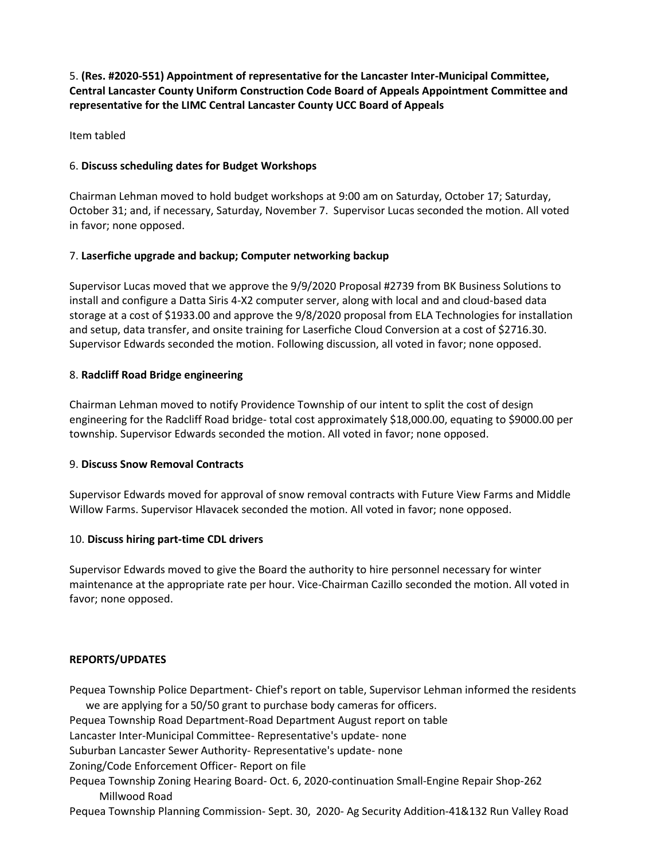5. **(Res. #2020-551) Appointment of representative for the Lancaster Inter-Municipal Committee, Central Lancaster County Uniform Construction Code Board of Appeals Appointment Committee and representative for the LIMC Central Lancaster County UCC Board of Appeals**

Item tabled

## 6. **Discuss scheduling dates for Budget Workshops**

Chairman Lehman moved to hold budget workshops at 9:00 am on Saturday, October 17; Saturday, October 31; and, if necessary, Saturday, November 7. Supervisor Lucas seconded the motion. All voted in favor; none opposed.

## 7. **Laserfiche upgrade and backup; Computer networking backup**

Supervisor Lucas moved that we approve the 9/9/2020 Proposal #2739 from BK Business Solutions to install and configure a Datta Siris 4-X2 computer server, along with local and and cloud-based data storage at a cost of \$1933.00 and approve the 9/8/2020 proposal from ELA Technologies for installation and setup, data transfer, and onsite training for Laserfiche Cloud Conversion at a cost of \$2716.30. Supervisor Edwards seconded the motion. Following discussion, all voted in favor; none opposed.

## 8. **Radcliff Road Bridge engineering**

Chairman Lehman moved to notify Providence Township of our intent to split the cost of design engineering for the Radcliff Road bridge- total cost approximately \$18,000.00, equating to \$9000.00 per township. Supervisor Edwards seconded the motion. All voted in favor; none opposed.

## 9. **Discuss Snow Removal Contracts**

Supervisor Edwards moved for approval of snow removal contracts with Future View Farms and Middle Willow Farms. Supervisor Hlavacek seconded the motion. All voted in favor; none opposed.

## 10. **Discuss hiring part-time CDL drivers**

Supervisor Edwards moved to give the Board the authority to hire personnel necessary for winter maintenance at the appropriate rate per hour. Vice-Chairman Cazillo seconded the motion. All voted in favor; none opposed.

## **REPORTS/UPDATES**

Pequea Township Police Department- Chief's report on table, Supervisor Lehman informed the residents we are applying for a 50/50 grant to purchase body cameras for officers.

Pequea Township Road Department-Road Department August report on table

Lancaster Inter-Municipal Committee- Representative's update- none

Suburban Lancaster Sewer Authority- Representative's update- none

Zoning/Code Enforcement Officer- Report on file

Pequea Township Zoning Hearing Board- Oct. 6, 2020-continuation Small-Engine Repair Shop-262 Millwood Road

Pequea Township Planning Commission- Sept. 30, 2020- Ag Security Addition-41&132 Run Valley Road